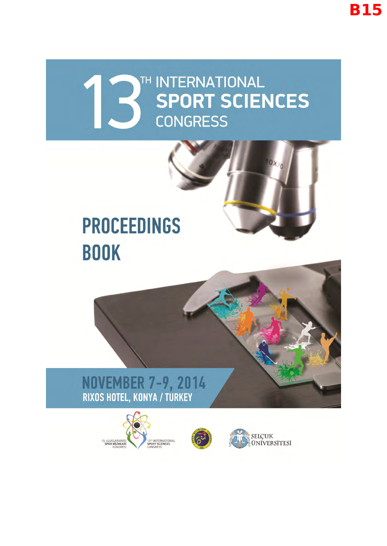### TH INTERNATIONAL **SPORT SCIENCES CONGRESS**

## **PROCEEDINGS BOOK**

# NOVEMBER 7-9, 2014<br>RIXOS HOTEL, KONYA / TURKEY





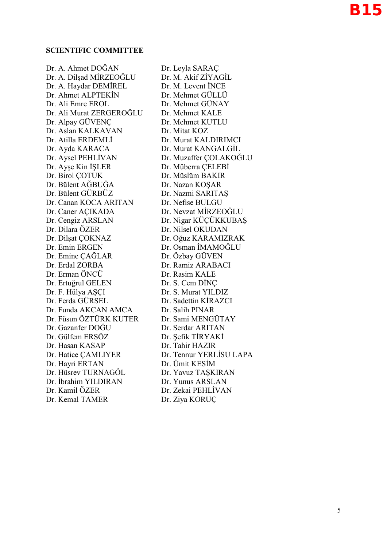#### **SCIENTIFIC COMMITTEE**

Dr. A. Ahmet DOĞAN Dr. Leyla SARAÇ Dr. A. Dilşad MİRZEOĞLU Dr. M. Akif ZİYAGİL Dr. A. Haydar DEMİREL Dr. M. Levent İNCE Dr. Ahmet ALPTEKİN Dr. Mehmet GÜLLÜ Dr. Ali Emre EROL Dr. Mehmet GÜNAY Dr. Ali Murat ZERGEROĞLU Dr. Mehmet KALE Dr. Alpay GÜVENÇ Dr. Mehmet KUTLU Dr. Aslan KALKAVAN Dr. Mitat KOZ Dr. Atilla ERDEMLİ Dr. Murat KALDIRIMCI Dr. Ayda KARACA Dr. Murat KANGALGİL Dr. Aysel PEHLİVAN Dr. Muzaffer COLAKOĞLU Dr. Ayşe Kin İŞLER Dr. Müberra ÇELEBİ Dr. Birol ÇOTUK Dr. Müslüm BAKIR Dr. Bülent AĞBUĞA Dr. Nazan KOŞAR Dr. Bülent GÜRBÜZ Dr. Nazmi SARITAŞ Dr. Canan KOCA ARITAN Dr. Nefise BULGU Dr. Caner AÇIKADA Dr. Nevzat MİRZEOĞLU Dr. Cengiz ARSLAN Dr. Nigar KÜÇÜKKUBAŞ Dr. Dilara ÖZER Dr. Nilsel OKUDAN Dr. Dilşat ÇOKNAZ Dr. Oğuz KARAMIZRAK Dr. Emin ERGEN Dr. Osman İMAMOĞLU Dr. Emine CAĞLAR Dr. Özbay GÜVEN Dr. Erdal ZORBA Dr. Ramiz ARABACI Dr. Erman ÖNCÜ Dr. Rasim KALE Dr. Ertuğrul GELEN Dr. S. Cem DİNC Dr. F. Hülya AŞÇI Dr. S. Murat YILDIZ Dr. Ferda GÜRSEL Dr. Sadettin KİRAZCI Dr. Funda AKCAN AMCA Dr. Salih PINAR Dr. Füsun ÖZTÜRK KUTER Dr. Sami MENGÜTAY Dr. Gazanfer DOĞU Dr. Serdar ARITAN Dr. Gülfem ERSÖZ Dr. Sefik TİRYAKİ Dr. Hasan KASAP Dr. Tahir HAZIR Dr. Hatice CAMLIYER Dr. Tennur YERLİSU LAPA Dr. Hayri ERTAN Dr. Ümit KESİM Dr. Hüsrev TURNAGÖL Dr. Yavuz TAŞKIRAN Dr. İbrahim YILDIRAN Dr. Yunus ARSLAN Dr. Kamil ÖZER Dr. Zekai PEHLİVAN Dr. Kemal TAMER Dr. Ziya KORUÇ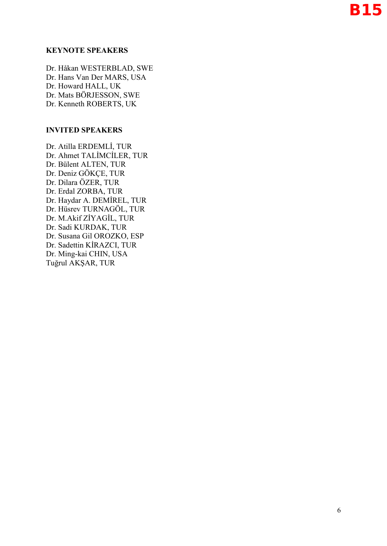#### **KEYNOTE SPEAKERS**

Dr. Håkan WESTERBLAD, SWE Dr. Hans Van Der MARS, USA Dr. Howard HALL, UK Dr. Mats BÖRJESSON, SWE Dr. Kenneth ROBERTS, UK

#### **INVITED SPEAKERS**

Dr. Atilla ERDEMLİ, TUR Dr. Ahmet TALİMCİLER, TUR Dr. Bülent ALTEN, TUR Dr. Deniz GÖKÇE, TUR Dr. Dilara ÖZER, TUR Dr. Erdal ZORBA, TUR Dr. Haydar A. DEMİREL, TUR Dr. Hüsrev TURNAGÖL, TUR Dr. M.Akif ZİYAGİL, TUR Dr. Sadi KURDAK, TUR Dr. Susana Gil OROZKO, ESP Dr. Sadettin KİRAZCI, TUR Dr. Ming-kai CHIN, USA Tuğrul AKŞAR, TUR